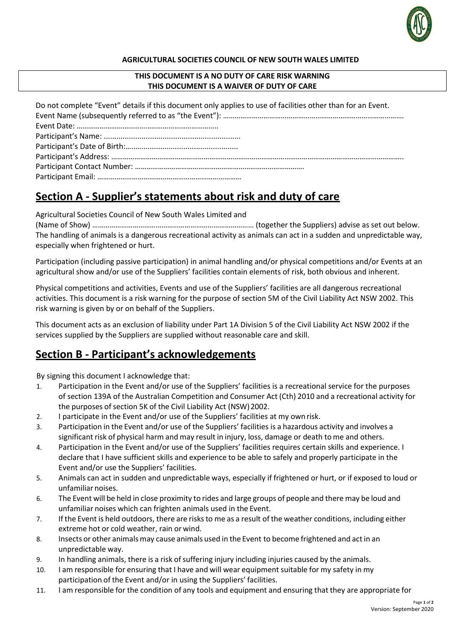

#### **AGRICULTURAL SOCIETIES COUNCIL OF NEW SOUTH WALES LIMITED**

### **THIS DOCUMENT IS A NO DUTY OF CARE RISK WARNING THIS DOCUMENT IS A WAIVER OF DUTY OF CARE**

Do not complete "Event" details if this document only applies to use of facilities other than for an Event. Event Name (subsequently referred to as "the Event"): ……………………………………………………………………………………… Event Date: ……………………………………………………………….. Participant's Name: ................................................................. Participant's Date of Birth:…..….............................................. Participant's Address: …………………………………………………………………………………………………………………………………….. Participant Contact Number: ……………………………………………………………………………. Participant Email: …………………………………………………………………

# **Section A - Supplier's statements about risk and duty of care**

Agricultural Societies Council of New South Wales Limited and

(Name of Show) ………………………………………………………………………… (together the Suppliers) advise as set out below. The handling of animals is a dangerous recreational activity as animals can act in a sudden and unpredictable way, especially when frightened or hurt.

Participation (including passive participation) in animal handling and/or physical competitions and/or Events at an agricultural show and/or use of the Suppliers' facilities contain elements of risk, both obvious and inherent.

Physical competitions and activities, Events and use of the Suppliers' facilities are all dangerous recreational activities. This document is a risk warning for the purpose of section 5M of the Civil Liability Act NSW 2002. This risk warning is given by or on behalf of the Suppliers.

This document acts as an exclusion of liability under Part 1A Division 5 of the Civil Liability Act NSW 2002 if the services supplied by the Suppliers are supplied without reasonable care and skill.

## **Section B - Participant's acknowledgements**

By signing this document I acknowledge that:

- 1. Participation in the Event and/or use of the Suppliers' facilities is a recreational service for the purposes of section 139A of the Australian Competition and Consumer Act (Cth) 2010 and a recreational activity for the purposes of section 5K of the Civil Liability Act (NSW) 2002.
- 2. I participate in the Event and/or use of the Suppliers' facilities at my ownrisk.
- 3. Participation in the Event and/or use of the Suppliers' facilities is a hazardous activity and involves a significant risk of physical harm and may result in injury, loss, damage or death to me and others.
- 4. Participation in the Event and/or use of the Suppliers' facilities requires certain skills and experience. I declare that I have sufficient skills and experience to be able to safely and properly participate in the Event and/or use the Suppliers' facilities.
- 5. Animals can act in sudden and unpredictable ways, especially if frightened or hurt, or if exposed to loud or unfamiliar noises.
- 6. The Event will be held in close proximity to rides and large groups of people and there may be loud and unfamiliar noises which can frighten animals used in the Event.
- 7. If the Event is held outdoors, there are risksto me as a result of the weather conditions, including either extreme hot or cold weather, rain or wind.
- 8. Insects or other animals may cause animals used in the Event to become frightened and act in an unpredictable way.
- 9. In handling animals, there is a risk of suffering injury including injuries caused by the animals.
- 10. I am responsible for ensuring that I have and will wear equipment suitable for my safety in my participation of the Event and/or in using the Suppliers' facilities.
- 11. I am responsible for the condition of any tools and equipment and ensuring that they are appropriate for